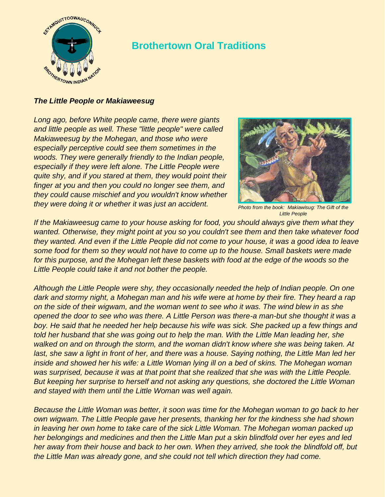

## **Brothertown Oral Traditions**

## *The Little People or Makiaweesug*

*Long ago, before White people came, there were giants and little people as well. These "little people" were called Makiaweesug by the Mohegan, and those who were especially perceptive could see them sometimes in the woods. They were generally friendly to the Indian people, especially if they were left alone. The Little People were quite shy, and if you stared at them, they would point their finger at you and then you could no longer see them, and they could cause mischief and you wouldn't know whether they were doing it or whether it was just an accident.*



*Photo from the book: Makiawisug: The Gift of the Little People*

*If the Makiaweesug came to your house asking for food, you should always give them what they wanted. Otherwise, they might point at you so you couldn't see them and then take whatever food they wanted. And even if the Little People did not come to your house, it was a good idea to leave some food for them so they would not have to come up to the house. Small baskets were made for this purpose, and the Mohegan left these baskets with food at the edge of the woods so the Little People could take it and not bother the people.*

*Although the Little People were shy, they occasionally needed the help of Indian people. On one dark and stormy night, a Mohegan man and his wife were at home by their fire. They heard a rap on the side of their wigwam, and the woman went to see who it was. The wind blew in as she opened the door to see who was there. A Little Person was there-a man-but she thought it was a boy. He said that he needed her help because his wife was sick. She packed up a few things and told her husband that she was going out to help the man. With the Little Man leading her, she walked on and on through the storm, and the woman didn't know where she was being taken. At*  last, she saw a light in front of her, and there was a house. Saying nothing, the Little Man led her *inside and showed her his wife: a Little Woman lying ill on a bed of skins. The Mohegan woman was surprised, because it was at that point that she realized that she was with the Little People. But keeping her surprise to herself and not asking any questions, she doctored the Little Woman and stayed with them until the Little Woman was well again.*

*Because the Little Woman was better, it soon was time for the Mohegan woman to go back to her own wigwam. The Little People gave her presents, thanking her for the kindness she had shown in leaving her own home to take care of the sick Little Woman. The Mohegan woman packed up her belongings and medicines and then the Little Man put a skin blindfold over her eyes and led her away from their house and back to her own. When they arrived, she took the blindfold off, but the Little Man was already gone, and she could not tell which direction they had come.*